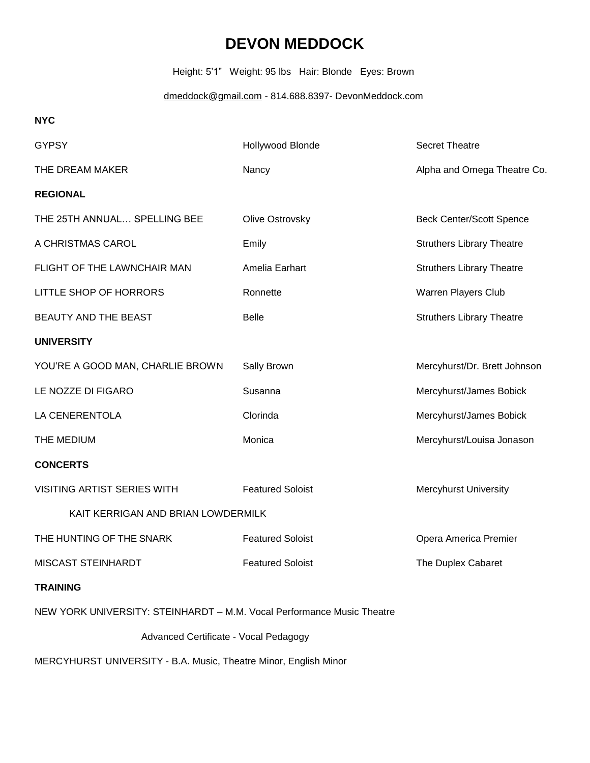## **DEVON MEDDOCK**

Height: 5'1" Weight: 95 lbs Hair: Blonde Eyes: Brown

[dmeddock@gmail.com](mailto:dmeddock@gmail.com) - 814.688.8397- DevonMeddock.com

**NYC**

| <b>GYPSY</b>                                                           | Hollywood Blonde        | <b>Secret Theatre</b>            |
|------------------------------------------------------------------------|-------------------------|----------------------------------|
| THE DREAM MAKER                                                        | Nancy                   | Alpha and Omega Theatre Co.      |
| <b>REGIONAL</b>                                                        |                         |                                  |
| THE 25TH ANNUAL SPELLING BEE                                           | Olive Ostrovsky         | <b>Beck Center/Scott Spence</b>  |
| A CHRISTMAS CAROL                                                      | Emily                   | <b>Struthers Library Theatre</b> |
| FLIGHT OF THE LAWNCHAIR MAN                                            | Amelia Earhart          | <b>Struthers Library Theatre</b> |
| LITTLE SHOP OF HORRORS                                                 | Ronnette                | Warren Players Club              |
| BEAUTY AND THE BEAST                                                   | <b>Belle</b>            | <b>Struthers Library Theatre</b> |
| <b>UNIVERSITY</b>                                                      |                         |                                  |
| YOU'RE A GOOD MAN, CHARLIE BROWN                                       | Sally Brown             | Mercyhurst/Dr. Brett Johnson     |
| LE NOZZE DI FIGARO                                                     | Susanna                 | Mercyhurst/James Bobick          |
| LA CENERENTOLA                                                         | Clorinda                | Mercyhurst/James Bobick          |
| THE MEDIUM                                                             | Monica                  | Mercyhurst/Louisa Jonason        |
| <b>CONCERTS</b>                                                        |                         |                                  |
| VISITING ARTIST SERIES WITH                                            | <b>Featured Soloist</b> | Mercyhurst University            |
| KAIT KERRIGAN AND BRIAN LOWDERMILK                                     |                         |                                  |
| THE HUNTING OF THE SNARK                                               | <b>Featured Soloist</b> | Opera America Premier            |
| MISCAST STEINHARDT                                                     | <b>Featured Soloist</b> | The Duplex Cabaret               |
| <b>TRAINING</b>                                                        |                         |                                  |
| NEW YORK UNIVERSITY: STEINHARDT - M.M. Vocal Performance Music Theatre |                         |                                  |
| Advanced Certificate - Vocal Pedagogy                                  |                         |                                  |

MERCYHURST UNIVERSITY - B.A. Music, Theatre Minor, English Minor